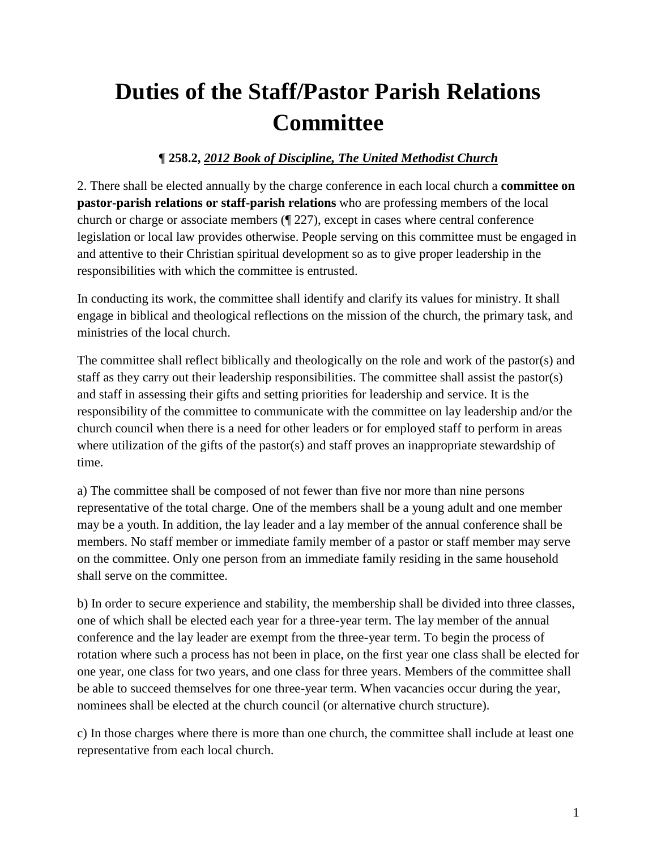## **Duties of the Staff/Pastor Parish Relations Committee**

## **¶ 258.2,** *2012 Book of Discipline, The United Methodist Church*

2. There shall be elected annually by the charge conference in each local church a **committee on pastor-parish relations or staff-parish relations** who are professing members of the local church or charge or associate members (¶ 227), except in cases where central conference legislation or local law provides otherwise. People serving on this committee must be engaged in and attentive to their Christian spiritual development so as to give proper leadership in the responsibilities with which the committee is entrusted.

In conducting its work, the committee shall identify and clarify its values for ministry. It shall engage in biblical and theological reflections on the mission of the church, the primary task, and ministries of the local church.

The committee shall reflect biblically and theologically on the role and work of the pastor(s) and staff as they carry out their leadership responsibilities. The committee shall assist the pastor(s) and staff in assessing their gifts and setting priorities for leadership and service. It is the responsibility of the committee to communicate with the committee on lay leadership and/or the church council when there is a need for other leaders or for employed staff to perform in areas where utilization of the gifts of the pastor(s) and staff proves an inappropriate stewardship of time.

a) The committee shall be composed of not fewer than five nor more than nine persons representative of the total charge. One of the members shall be a young adult and one member may be a youth. In addition, the lay leader and a lay member of the annual conference shall be members. No staff member or immediate family member of a pastor or staff member may serve on the committee. Only one person from an immediate family residing in the same household shall serve on the committee.

b) In order to secure experience and stability, the membership shall be divided into three classes, one of which shall be elected each year for a three-year term. The lay member of the annual conference and the lay leader are exempt from the three-year term. To begin the process of rotation where such a process has not been in place, on the first year one class shall be elected for one year, one class for two years, and one class for three years. Members of the committee shall be able to succeed themselves for one three-year term. When vacancies occur during the year, nominees shall be elected at the church council (or alternative church structure).

c) In those charges where there is more than one church, the committee shall include at least one representative from each local church.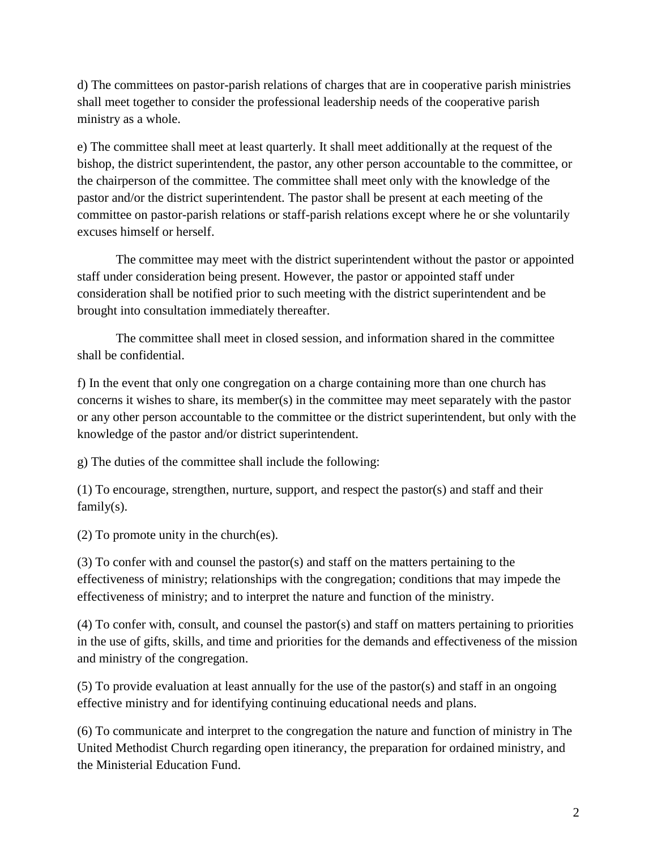d) The committees on pastor-parish relations of charges that are in cooperative parish ministries shall meet together to consider the professional leadership needs of the cooperative parish ministry as a whole.

e) The committee shall meet at least quarterly. It shall meet additionally at the request of the bishop, the district superintendent, the pastor, any other person accountable to the committee, or the chairperson of the committee. The committee shall meet only with the knowledge of the pastor and/or the district superintendent. The pastor shall be present at each meeting of the committee on pastor-parish relations or staff-parish relations except where he or she voluntarily excuses himself or herself.

The committee may meet with the district superintendent without the pastor or appointed staff under consideration being present. However, the pastor or appointed staff under consideration shall be notified prior to such meeting with the district superintendent and be brought into consultation immediately thereafter.

The committee shall meet in closed session, and information shared in the committee shall be confidential.

f) In the event that only one congregation on a charge containing more than one church has concerns it wishes to share, its member(s) in the committee may meet separately with the pastor or any other person accountable to the committee or the district superintendent, but only with the knowledge of the pastor and/or district superintendent.

g) The duties of the committee shall include the following:

(1) To encourage, strengthen, nurture, support, and respect the pastor(s) and staff and their family(s).

(2) To promote unity in the church(es).

(3) To confer with and counsel the pastor(s) and staff on the matters pertaining to the effectiveness of ministry; relationships with the congregation; conditions that may impede the effectiveness of ministry; and to interpret the nature and function of the ministry.

(4) To confer with, consult, and counsel the pastor(s) and staff on matters pertaining to priorities in the use of gifts, skills, and time and priorities for the demands and effectiveness of the mission and ministry of the congregation.

(5) To provide evaluation at least annually for the use of the pastor(s) and staff in an ongoing effective ministry and for identifying continuing educational needs and plans.

(6) To communicate and interpret to the congregation the nature and function of ministry in The United Methodist Church regarding open itinerancy, the preparation for ordained ministry, and the Ministerial Education Fund.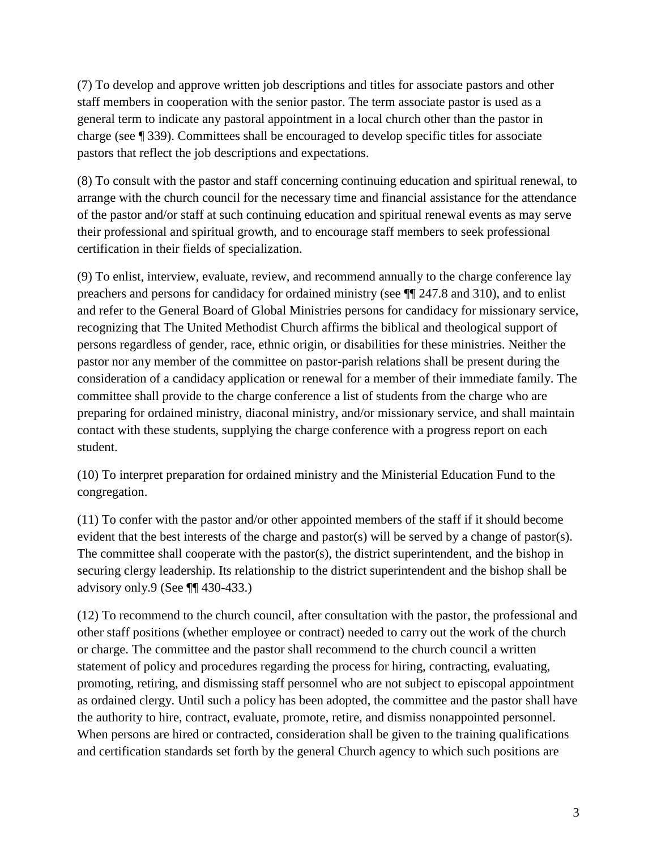(7) To develop and approve written job descriptions and titles for associate pastors and other staff members in cooperation with the senior pastor. The term associate pastor is used as a general term to indicate any pastoral appointment in a local church other than the pastor in charge (see ¶ 339). Committees shall be encouraged to develop specific titles for associate pastors that reflect the job descriptions and expectations.

(8) To consult with the pastor and staff concerning continuing education and spiritual renewal, to arrange with the church council for the necessary time and financial assistance for the attendance of the pastor and/or staff at such continuing education and spiritual renewal events as may serve their professional and spiritual growth, and to encourage staff members to seek professional certification in their fields of specialization.

(9) To enlist, interview, evaluate, review, and recommend annually to the charge conference lay preachers and persons for candidacy for ordained ministry (see ¶¶ 247.8 and 310), and to enlist and refer to the General Board of Global Ministries persons for candidacy for missionary service, recognizing that The United Methodist Church affirms the biblical and theological support of persons regardless of gender, race, ethnic origin, or disabilities for these ministries. Neither the pastor nor any member of the committee on pastor-parish relations shall be present during the consideration of a candidacy application or renewal for a member of their immediate family. The committee shall provide to the charge conference a list of students from the charge who are preparing for ordained ministry, diaconal ministry, and/or missionary service, and shall maintain contact with these students, supplying the charge conference with a progress report on each student.

(10) To interpret preparation for ordained ministry and the Ministerial Education Fund to the congregation.

(11) To confer with the pastor and/or other appointed members of the staff if it should become evident that the best interests of the charge and pastor(s) will be served by a change of pastor(s). The committee shall cooperate with the pastor(s), the district superintendent, and the bishop in securing clergy leadership. Its relationship to the district superintendent and the bishop shall be advisory only.9 (See ¶¶ 430-433.)

(12) To recommend to the church council, after consultation with the pastor, the professional and other staff positions (whether employee or contract) needed to carry out the work of the church or charge. The committee and the pastor shall recommend to the church council a written statement of policy and procedures regarding the process for hiring, contracting, evaluating, promoting, retiring, and dismissing staff personnel who are not subject to episcopal appointment as ordained clergy. Until such a policy has been adopted, the committee and the pastor shall have the authority to hire, contract, evaluate, promote, retire, and dismiss nonappointed personnel. When persons are hired or contracted, consideration shall be given to the training qualifications and certification standards set forth by the general Church agency to which such positions are